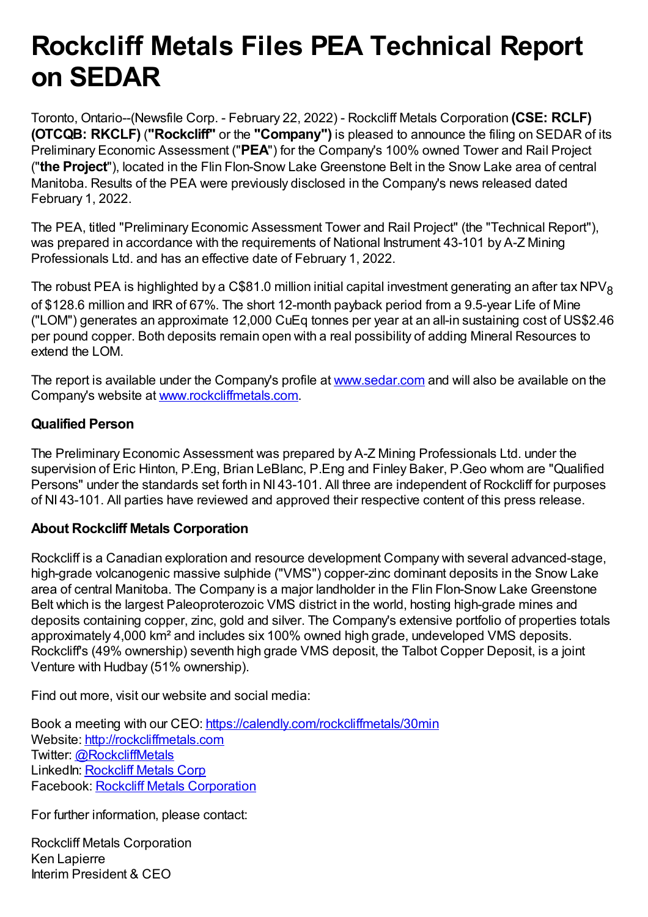## **Rockcliff Metals Files PEA Technical Report on SEDAR**

Toronto, Ontario--(Newsfile Corp. - February 22, 2022) - Rockcliff Metals Corporation **(CSE: RCLF) (OTCQB: RKCLF)** (**"Rockcliff"** or the **"Company")** is pleased to announce the filing on SEDAR of its Preliminary Economic Assessment ("**PEA**") for the Company's 100% owned Tower and Rail Project ("**the Project**"), located in the Flin Flon-Snow Lake Greenstone Belt in the Snow Lake area of central Manitoba. Results of the PEA were previously disclosed in the Company's news released dated February 1, 2022.

The PEA, titled "Preliminary Economic Assessment Tower and Rail Project" (the "Technical Report"), was prepared in accordance with the requirements of National Instrument 43-101 by A-Z Mining Professionals Ltd. and has an effective date of February 1, 2022.

The robust PEA is highlighted by a C\$81.0 million initial capital investment generating an after tax NPV<sub>8</sub> of \$128.6 million and IRR of 67%. The short 12-month payback period from a 9.5-year Life of Mine ("LOM") generates an approximate 12,000 CuEq tonnes per year at an all-in sustaining cost of US\$2.46 per pound copper. Both deposits remain open with a real possibility of adding Mineral Resources to extend the LOM.

The report is available under the Company's profile at [www.sedar.com](https://www.newsfilecorp.com/redirect/L7pqJUb0r2) and will also be available on the Company's website at [www.rockcliffmetals.com.](https://www.newsfilecorp.com/redirect/oJyP3hr5nY)

## **Qualified Person**

The Preliminary Economic Assessment was prepared by A-Z Mining Professionals Ltd. under the supervision of Eric Hinton, P.Eng, Brian LeBlanc, P.Eng and Finley Baker, P.Geo whom are "Qualified Persons" under the standards set forth in NI 43-101. All three are independent of Rockcliff for purposes of NI 43-101. All parties have reviewed and approved their respective content of this press release.

## **About Rockcliff Metals Corporation**

Rockcliff is a Canadian exploration and resource development Company with several advanced-stage, high-grade volcanogenic massive sulphide ("VMS") copper-zinc dominant deposits in the Snow Lake area of central Manitoba. The Company is a major landholder in the Flin Flon-Snow Lake Greenstone Belt which is the largest Paleoproterozoic VMS district in the world, hosting high-grade mines and deposits containing copper, zinc, gold and silver. The Company's extensive portfolio of properties totals approximately 4,000 km² and includes six 100% owned high grade, undeveloped VMS deposits. Rockcliff's (49% ownership) seventh high grade VMS deposit, the Talbot Copper Deposit, is a joint Venture with Hudbay (51% ownership).

Find out more, visit our website and social media:

Book a meeting with our CEO: [https://calendly.com/rockcliffmetals/30min](https://www.newsfilecorp.com/redirect/zWJAOs14qN) Website: [http://rockcliffmetals.com](https://www.newsfilecorp.com/redirect/4WBYpsAeVe) Twitter: [@RockcliffMetals](https://www.newsfilecorp.com/redirect/jVYNDCX15g) LinkedIn: [Rockcliff](https://www.newsfilecorp.com/redirect/7ezE0UqV12) Metals Corp Facebook: Rockcliff Metals [Corporation](https://www.newsfilecorp.com/redirect/vRzEBHGX8V)

For further information, please contact:

Rockcliff Metals Corporation Ken Lapierre Interim President & CEO